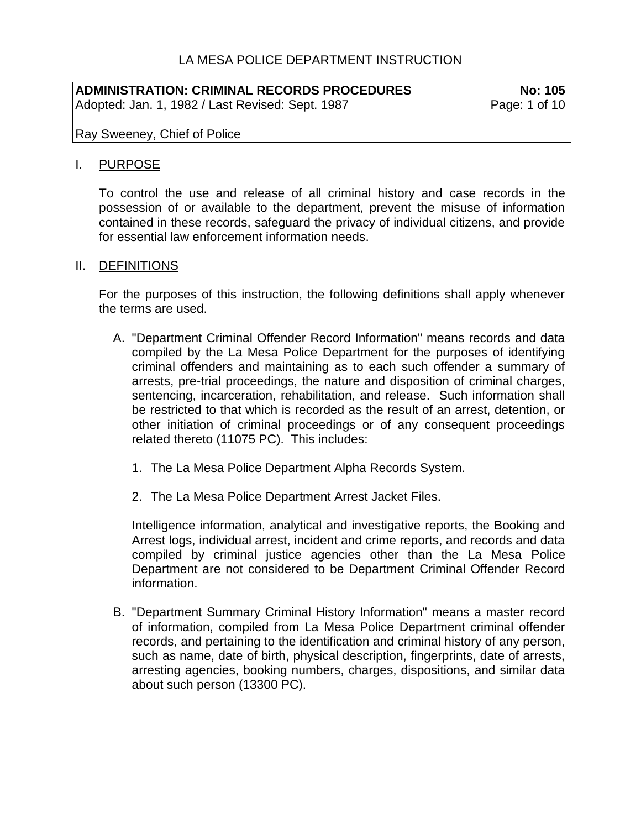# LA MESA POLICE DEPARTMENT INSTRUCTION

#### **ADMINISTRATION: CRIMINAL RECORDS PROCEDURES No: 105** Adopted: Jan. 1, 1982 / Last Revised: Sept. 1987

Ray Sweeney, Chief of Police

#### I. PURPOSE

To control the use and release of all criminal history and case records in the possession of or available to the department, prevent the misuse of information contained in these records, safeguard the privacy of individual citizens, and provide for essential law enforcement information needs.

#### II. DEFINITIONS

For the purposes of this instruction, the following definitions shall apply whenever the terms are used.

- A. "Department Criminal Offender Record Information" means records and data compiled by the La Mesa Police Department for the purposes of identifying criminal offenders and maintaining as to each such offender a summary of arrests, pre-trial proceedings, the nature and disposition of criminal charges, sentencing, incarceration, rehabilitation, and release. Such information shall be restricted to that which is recorded as the result of an arrest, detention, or other initiation of criminal proceedings or of any consequent proceedings related thereto (11075 PC). This includes:
	- 1. The La Mesa Police Department Alpha Records System.
	- 2. The La Mesa Police Department Arrest Jacket Files.

Intelligence information, analytical and investigative reports, the Booking and Arrest logs, individual arrest, incident and crime reports, and records and data compiled by criminal justice agencies other than the La Mesa Police Department are not considered to be Department Criminal Offender Record information.

B. "Department Summary Criminal History Information" means a master record of information, compiled from La Mesa Police Department criminal offender records, and pertaining to the identification and criminal history of any person, such as name, date of birth, physical description, fingerprints, date of arrests, arresting agencies, booking numbers, charges, dispositions, and similar data about such person (13300 PC).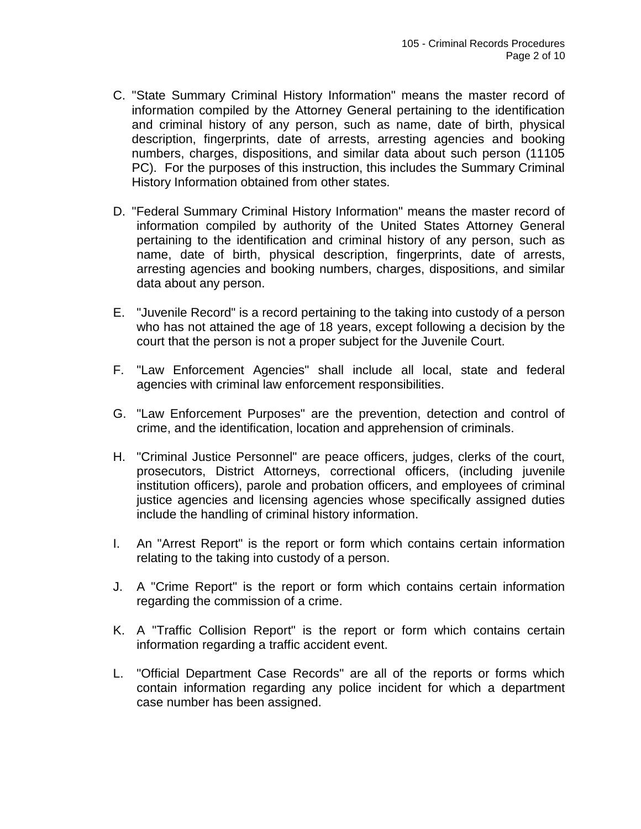- C. "State Summary Criminal History Information" means the master record of information compiled by the Attorney General pertaining to the identification and criminal history of any person, such as name, date of birth, physical description, fingerprints, date of arrests, arresting agencies and booking numbers, charges, dispositions, and similar data about such person (11105 PC). For the purposes of this instruction, this includes the Summary Criminal History Information obtained from other states.
- D. "Federal Summary Criminal History Information" means the master record of information compiled by authority of the United States Attorney General pertaining to the identification and criminal history of any person, such as name, date of birth, physical description, fingerprints, date of arrests, arresting agencies and booking numbers, charges, dispositions, and similar data about any person.
- E. "Juvenile Record" is a record pertaining to the taking into custody of a person who has not attained the age of 18 years, except following a decision by the court that the person is not a proper subject for the Juvenile Court.
- F. "Law Enforcement Agencies" shall include all local, state and federal agencies with criminal law enforcement responsibilities.
- G. "Law Enforcement Purposes" are the prevention, detection and control of crime, and the identification, location and apprehension of criminals.
- H. "Criminal Justice Personnel" are peace officers, judges, clerks of the court, prosecutors, District Attorneys, correctional officers, (including juvenile institution officers), parole and probation officers, and employees of criminal justice agencies and licensing agencies whose specifically assigned duties include the handling of criminal history information.
- I. An "Arrest Report" is the report or form which contains certain information relating to the taking into custody of a person.
- J. A "Crime Report" is the report or form which contains certain information regarding the commission of a crime.
- K. A "Traffic Collision Report" is the report or form which contains certain information regarding a traffic accident event.
- L. "Official Department Case Records" are all of the reports or forms which contain information regarding any police incident for which a department case number has been assigned.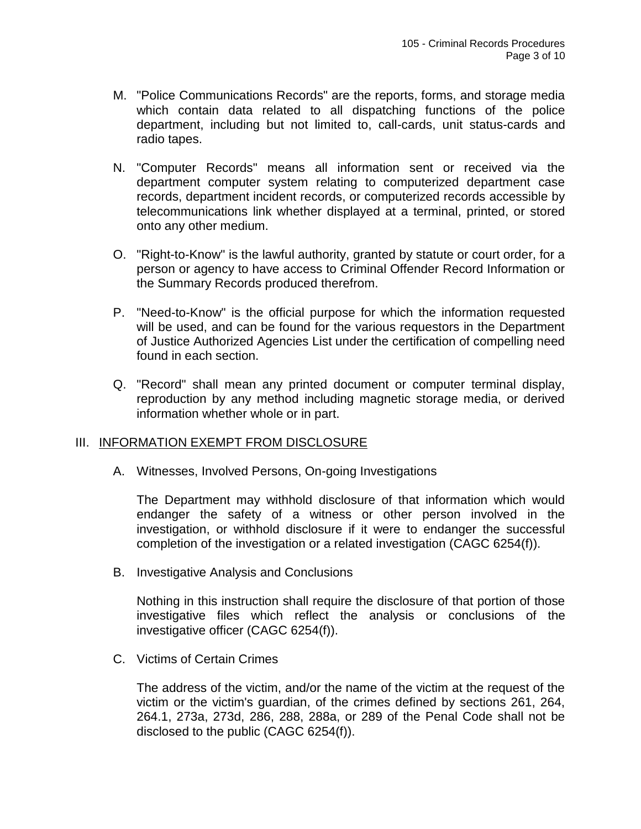- M. "Police Communications Records" are the reports, forms, and storage media which contain data related to all dispatching functions of the police department, including but not limited to, call-cards, unit status-cards and radio tapes.
- N. "Computer Records" means all information sent or received via the department computer system relating to computerized department case records, department incident records, or computerized records accessible by telecommunications link whether displayed at a terminal, printed, or stored onto any other medium.
- O. "Right-to-Know" is the lawful authority, granted by statute or court order, for a person or agency to have access to Criminal Offender Record Information or the Summary Records produced therefrom.
- P. "Need-to-Know" is the official purpose for which the information requested will be used, and can be found for the various requestors in the Department of Justice Authorized Agencies List under the certification of compelling need found in each section.
- Q. "Record" shall mean any printed document or computer terminal display, reproduction by any method including magnetic storage media, or derived information whether whole or in part.

## III. INFORMATION EXEMPT FROM DISCLOSURE

A. Witnesses, Involved Persons, On-going Investigations

The Department may withhold disclosure of that information which would endanger the safety of a witness or other person involved in the investigation, or withhold disclosure if it were to endanger the successful completion of the investigation or a related investigation (CAGC 6254(f)).

B. Investigative Analysis and Conclusions

Nothing in this instruction shall require the disclosure of that portion of those investigative files which reflect the analysis or conclusions of the investigative officer (CAGC 6254(f)).

C. Victims of Certain Crimes

The address of the victim, and/or the name of the victim at the request of the victim or the victim's guardian, of the crimes defined by sections 261, 264, 264.1, 273a, 273d, 286, 288, 288a, or 289 of the Penal Code shall not be disclosed to the public (CAGC 6254(f)).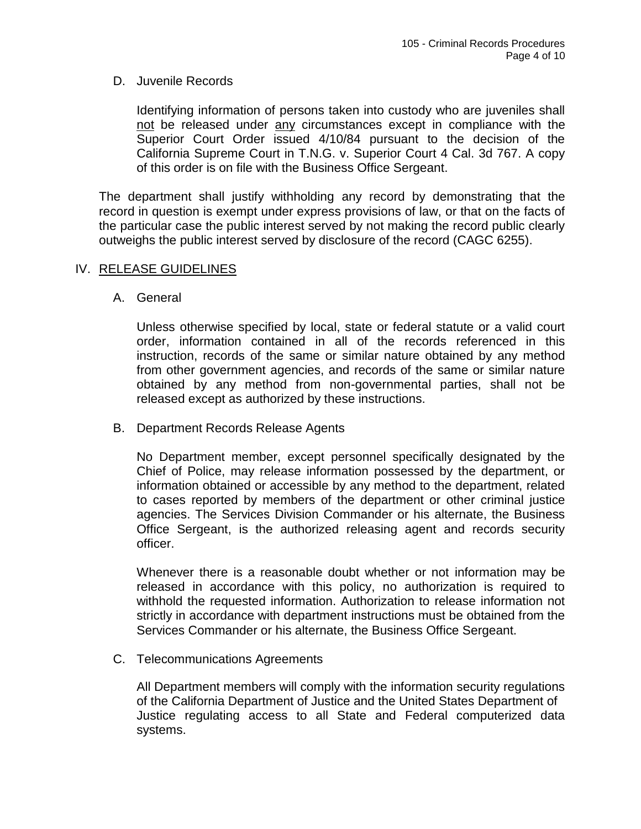#### D. Juvenile Records

Identifying information of persons taken into custody who are juveniles shall not be released under any circumstances except in compliance with the Superior Court Order issued 4/10/84 pursuant to the decision of the California Supreme Court in T.N.G. v. Superior Court 4 Cal. 3d 767. A copy of this order is on file with the Business Office Sergeant.

The department shall justify withholding any record by demonstrating that the record in question is exempt under express provisions of law, or that on the facts of the particular case the public interest served by not making the record public clearly outweighs the public interest served by disclosure of the record (CAGC 6255).

### IV. RELEASE GUIDELINES

A. General

Unless otherwise specified by local, state or federal statute or a valid court order, information contained in all of the records referenced in this instruction, records of the same or similar nature obtained by any method from other government agencies, and records of the same or similar nature obtained by any method from non-governmental parties, shall not be released except as authorized by these instructions.

B. Department Records Release Agents

No Department member, except personnel specifically designated by the Chief of Police, may release information possessed by the department, or information obtained or accessible by any method to the department, related to cases reported by members of the department or other criminal justice agencies. The Services Division Commander or his alternate, the Business Office Sergeant, is the authorized releasing agent and records security officer.

Whenever there is a reasonable doubt whether or not information may be released in accordance with this policy, no authorization is required to withhold the requested information. Authorization to release information not strictly in accordance with department instructions must be obtained from the Services Commander or his alternate, the Business Office Sergeant.

C. Telecommunications Agreements

All Department members will comply with the information security regulations of the California Department of Justice and the United States Department of Justice regulating access to all State and Federal computerized data systems.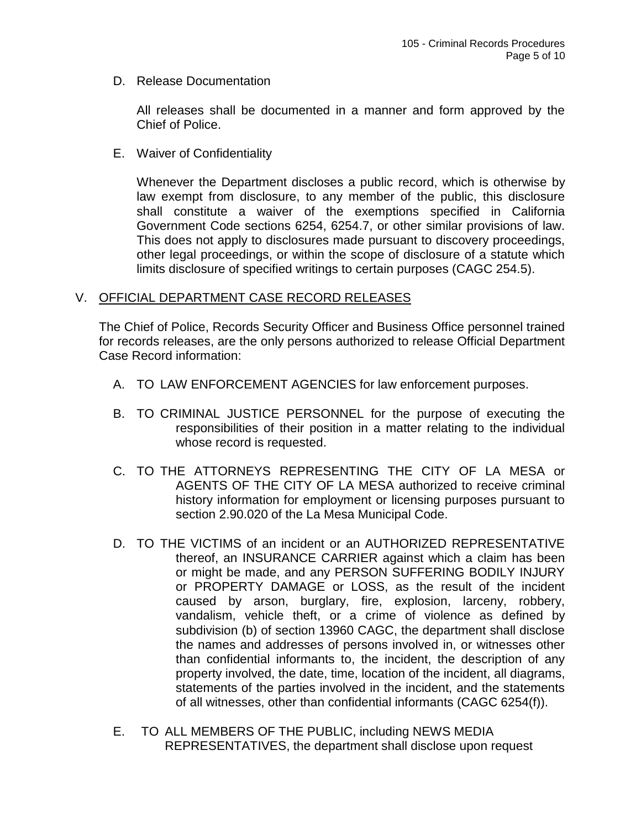D. Release Documentation

All releases shall be documented in a manner and form approved by the Chief of Police.

E. Waiver of Confidentiality

Whenever the Department discloses a public record, which is otherwise by law exempt from disclosure, to any member of the public, this disclosure shall constitute a waiver of the exemptions specified in California Government Code sections 6254, 6254.7, or other similar provisions of law. This does not apply to disclosures made pursuant to discovery proceedings, other legal proceedings, or within the scope of disclosure of a statute which limits disclosure of specified writings to certain purposes (CAGC 254.5).

## V. OFFICIAL DEPARTMENT CASE RECORD RELEASES

The Chief of Police, Records Security Officer and Business Office personnel trained for records releases, are the only persons authorized to release Official Department Case Record information:

- A. TO LAW ENFORCEMENT AGENCIES for law enforcement purposes.
- B. TO CRIMINAL JUSTICE PERSONNEL for the purpose of executing the responsibilities of their position in a matter relating to the individual whose record is requested.
- C. TO THE ATTORNEYS REPRESENTING THE CITY OF LA MESA or AGENTS OF THE CITY OF LA MESA authorized to receive criminal history information for employment or licensing purposes pursuant to section 2.90.020 of the La Mesa Municipal Code.
- D. TO THE VICTIMS of an incident or an AUTHORIZED REPRESENTATIVE thereof, an INSURANCE CARRIER against which a claim has been or might be made, and any PERSON SUFFERING BODILY INJURY or PROPERTY DAMAGE or LOSS, as the result of the incident caused by arson, burglary, fire, explosion, larceny, robbery, vandalism, vehicle theft, or a crime of violence as defined by subdivision (b) of section 13960 CAGC, the department shall disclose the names and addresses of persons involved in, or witnesses other than confidential informants to, the incident, the description of any property involved, the date, time, location of the incident, all diagrams, statements of the parties involved in the incident, and the statements of all witnesses, other than confidential informants (CAGC 6254(f)).
- E. TO ALL MEMBERS OF THE PUBLIC, including NEWS MEDIA REPRESENTATIVES, the department shall disclose upon request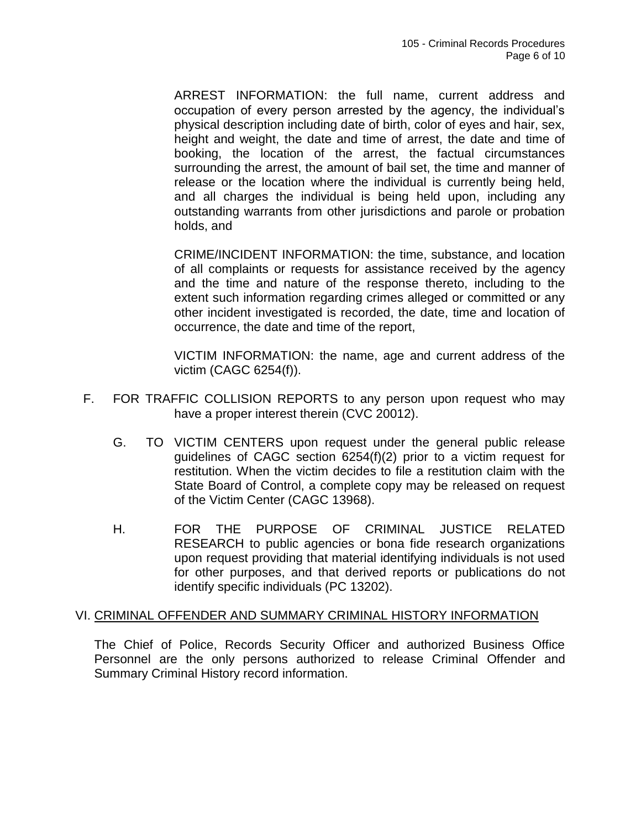ARREST INFORMATION: the full name, current address and occupation of every person arrested by the agency, the individual's physical description including date of birth, color of eyes and hair, sex, height and weight, the date and time of arrest, the date and time of booking, the location of the arrest, the factual circumstances surrounding the arrest, the amount of bail set, the time and manner of release or the location where the individual is currently being held, and all charges the individual is being held upon, including any outstanding warrants from other jurisdictions and parole or probation holds, and

CRIME/INCIDENT INFORMATION: the time, substance, and location of all complaints or requests for assistance received by the agency and the time and nature of the response thereto, including to the extent such information regarding crimes alleged or committed or any other incident investigated is recorded, the date, time and location of occurrence, the date and time of the report,

VICTIM INFORMATION: the name, age and current address of the victim (CAGC 6254(f)).

- F. FOR TRAFFIC COLLISION REPORTS to any person upon request who may have a proper interest therein (CVC 20012).
	- G. TO VICTIM CENTERS upon request under the general public release guidelines of CAGC section 6254(f)(2) prior to a victim request for restitution. When the victim decides to file a restitution claim with the State Board of Control, a complete copy may be released on request of the Victim Center (CAGC 13968).
	- H. FOR THE PURPOSE OF CRIMINAL JUSTICE RELATED RESEARCH to public agencies or bona fide research organizations upon request providing that material identifying individuals is not used for other purposes, and that derived reports or publications do not identify specific individuals (PC 13202).

#### VI. CRIMINAL OFFENDER AND SUMMARY CRIMINAL HISTORY INFORMATION

The Chief of Police, Records Security Officer and authorized Business Office Personnel are the only persons authorized to release Criminal Offender and Summary Criminal History record information.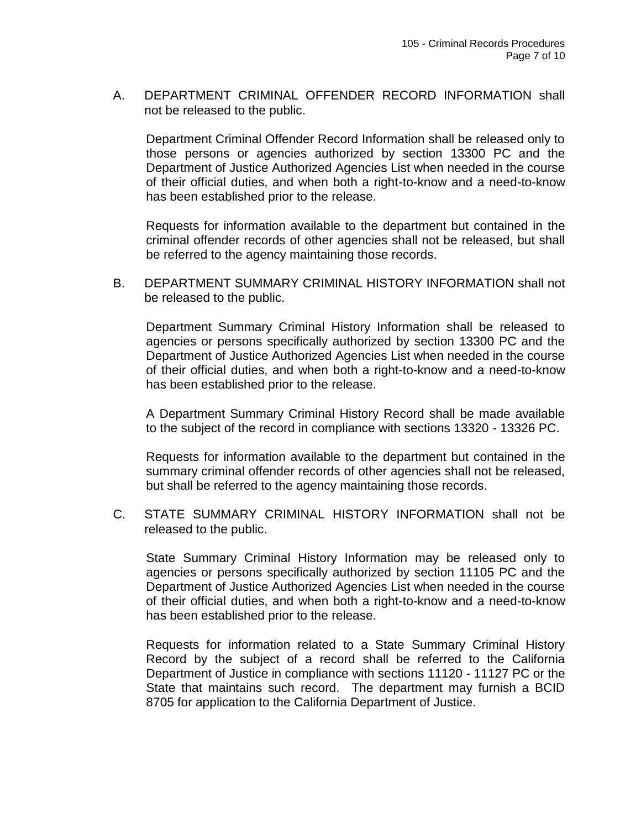A. DEPARTMENT CRIMINAL OFFENDER RECORD INFORMATION shall not be released to the public.

Department Criminal Offender Record Information shall be released only to those persons or agencies authorized by section 13300 PC and the Department of Justice Authorized Agencies List when needed in the course of their official duties, and when both a right-to-know and a need-to-know has been established prior to the release.

Requests for information available to the department but contained in the criminal offender records of other agencies shall not be released, but shall be referred to the agency maintaining those records.

B. DEPARTMENT SUMMARY CRIMINAL HISTORY INFORMATION shall not be released to the public.

Department Summary Criminal History Information shall be released to agencies or persons specifically authorized by section 13300 PC and the Department of Justice Authorized Agencies List when needed in the course of their official duties, and when both a right-to-know and a need-to-know has been established prior to the release.

A Department Summary Criminal History Record shall be made available to the subject of the record in compliance with sections 13320 - 13326 PC.

Requests for information available to the department but contained in the summary criminal offender records of other agencies shall not be released, but shall be referred to the agency maintaining those records.

C. STATE SUMMARY CRIMINAL HISTORY INFORMATION shall not be released to the public.

State Summary Criminal History Information may be released only to agencies or persons specifically authorized by section 11105 PC and the Department of Justice Authorized Agencies List when needed in the course of their official duties, and when both a right-to-know and a need-to-know has been established prior to the release.

Requests for information related to a State Summary Criminal History Record by the subject of a record shall be referred to the California Department of Justice in compliance with sections 11120 - 11127 PC or the State that maintains such record. The department may furnish a BCID 8705 for application to the California Department of Justice.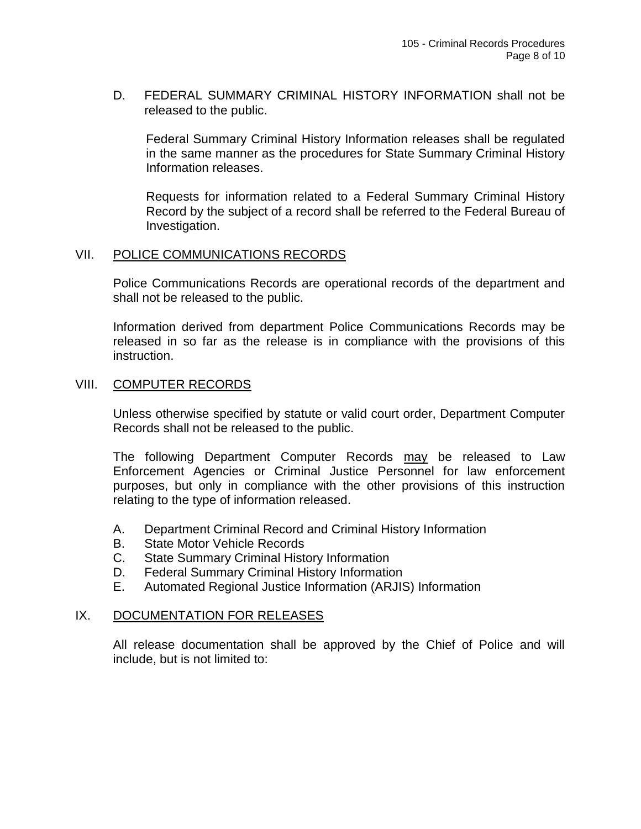D. FEDERAL SUMMARY CRIMINAL HISTORY INFORMATION shall not be released to the public.

Federal Summary Criminal History Information releases shall be regulated in the same manner as the procedures for State Summary Criminal History Information releases.

Requests for information related to a Federal Summary Criminal History Record by the subject of a record shall be referred to the Federal Bureau of Investigation.

#### VII. POLICE COMMUNICATIONS RECORDS

Police Communications Records are operational records of the department and shall not be released to the public.

Information derived from department Police Communications Records may be released in so far as the release is in compliance with the provisions of this instruction.

### VIII. COMPUTER RECORDS

Unless otherwise specified by statute or valid court order, Department Computer Records shall not be released to the public.

The following Department Computer Records may be released to Law Enforcement Agencies or Criminal Justice Personnel for law enforcement purposes, but only in compliance with the other provisions of this instruction relating to the type of information released.

- A. Department Criminal Record and Criminal History Information
- B. State Motor Vehicle Records
- C. State Summary Criminal History Information
- D. Federal Summary Criminal History Information
- E. Automated Regional Justice Information (ARJIS) Information

#### IX. DOCUMENTATION FOR RELEASES

All release documentation shall be approved by the Chief of Police and will include, but is not limited to: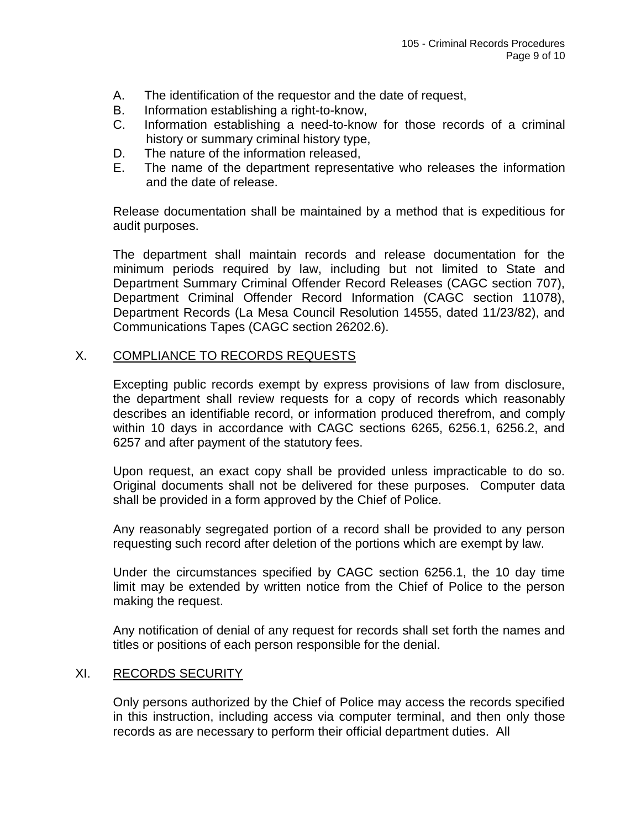- A. The identification of the requestor and the date of request,
- B. Information establishing a right-to-know,
- C. Information establishing a need-to-know for those records of a criminal history or summary criminal history type,
- D. The nature of the information released,
- E. The name of the department representative who releases the information and the date of release.

Release documentation shall be maintained by a method that is expeditious for audit purposes.

The department shall maintain records and release documentation for the minimum periods required by law, including but not limited to State and Department Summary Criminal Offender Record Releases (CAGC section 707), Department Criminal Offender Record Information (CAGC section 11078), Department Records (La Mesa Council Resolution 14555, dated 11/23/82), and Communications Tapes (CAGC section 26202.6).

## X. COMPLIANCE TO RECORDS REQUESTS

Excepting public records exempt by express provisions of law from disclosure, the department shall review requests for a copy of records which reasonably describes an identifiable record, or information produced therefrom, and comply within 10 days in accordance with CAGC sections 6265, 6256.1, 6256.2, and 6257 and after payment of the statutory fees.

Upon request, an exact copy shall be provided unless impracticable to do so. Original documents shall not be delivered for these purposes. Computer data shall be provided in a form approved by the Chief of Police.

Any reasonably segregated portion of a record shall be provided to any person requesting such record after deletion of the portions which are exempt by law.

Under the circumstances specified by CAGC section 6256.1, the 10 day time limit may be extended by written notice from the Chief of Police to the person making the request.

Any notification of denial of any request for records shall set forth the names and titles or positions of each person responsible for the denial.

#### XI. RECORDS SECURITY

Only persons authorized by the Chief of Police may access the records specified in this instruction, including access via computer terminal, and then only those records as are necessary to perform their official department duties. All